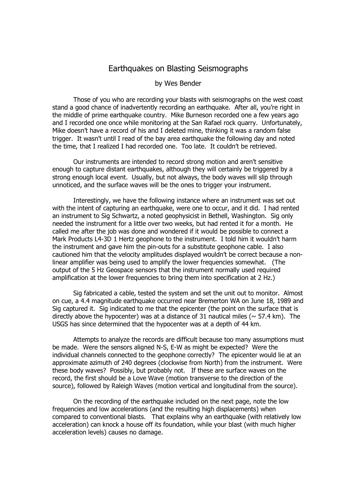## Earthquakes on Blasting Seismographs

## by Wes Bender

 Those of you who are recording your blasts with seismographs on the west coast stand a good chance of inadvertently recording an earthquake. After all, you're right in the middle of prime earthquake country. Mike Burneson recorded one a few years ago and I recorded one once while monitoring at the San Rafael rock quarry. Unfortunately, Mike doesn't have a record of his and I deleted mine, thinking it was a random false trigger. It wasn't until I read of the bay area earthquake the following day and noted the time, that I realized I had recorded one. Too late. It couldn't be retrieved.

 Our instruments are intended to record strong motion and aren't sensitive enough to capture distant earthquakes, although they will certainly be triggered by a strong enough local event. Usually, but not always, the body waves will slip through unnoticed, and the surface waves will be the ones to trigger your instrument.

 Interestingly, we have the following instance where an instrument was set out with the intent of capturing an earthquake, were one to occur, and it did. I had rented an instrument to Sig Schwartz, a noted geophysicist in Bethell, Washington. Sig only needed the instrument for a little over two weeks, but had rented it for a month. He called me after the job was done and wondered if it would be possible to connect a Mark Products L4-3D 1 Hertz geophone to the instrument. I told him it wouldn't harm the instrument and gave him the pin-outs for a substitute geophone cable. I also cautioned him that the velocity amplitudes displayed wouldn't be correct because a nonlinear amplifier was being used to amplify the lower frequencies somewhat. (The output of the 5 Hz Geospace sensors that the instrument normally used required amplification at the lower frequencies to bring them into specification at 2 Hz.)

 Sig fabricated a cable, tested the system and set the unit out to monitor. Almost on cue, a 4.4 magnitude earthquake occurred near Bremerton WA on June 18, 1989 and Sig captured it. Sig indicated to me that the epicenter (the point on the surface that is directly above the hypocenter) was at a distance of 31 nautical miles ( $\sim$  57.4 km). The USGS has since determined that the hypocenter was at a depth of 44 km.

 Attempts to analyze the records are difficult because too many assumptions must be made. Were the sensors aligned N-S, E-W as might be expected? Were the individual channels connected to the geophone correctly? The epicenter would lie at an approximate azimuth of 240 degrees (clockwise from North) from the instrument. Were these body waves? Possibly, but probably not. If these are surface waves on the record, the first should be a Love Wave (motion transverse to the direction of the source), followed by Raleigh Waves (motion vertical and longitudinal from the source).

 On the recording of the earthquake included on the next page, note the low frequencies and low accelerations (and the resulting high displacements) when compared to conventional blasts. That explains why an earthquake (with relatively low acceleration) can knock a house off its foundation, while your blast (with much higher acceleration levels) causes no damage.